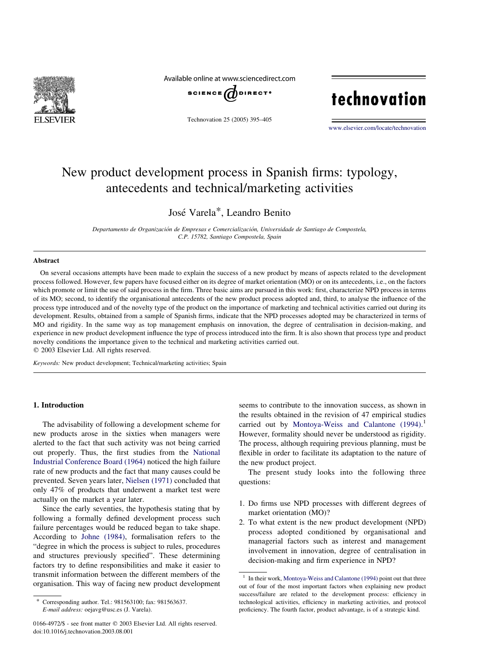

Available online at www.sciencedirect.com



Technovation 25 (2005) 395–405

# technovation

[www.elsevier.com/locate/technovation](http://www.elsevier.com/locate/technovation)

### New product development process in Spanish firms: typology, antecedents and technical/marketing activities

### Jose´ Varela\*, Leandro Benito

Departamento de Organización de Empresas e Comercialización, Universidade de Santiago de Compostela, C.P. 15782, Santiago Compostela, Spain

#### Abstract

On several occasions attempts have been made to explain the success of a new product by means of aspects related to the development process followed. However, few papers have focused either on its degree of market orientation (MO) or on its antecedents, i.e., on the factors which promote or limit the use of said process in the firm. Three basic aims are pursued in this work: first, characterize NPD process in terms of its MO; second, to identify the organisational antecedents of the new product process adopted and, third, to analyse the influence of the process type introduced and of the novelty type of the product on the importance of marketing and technical activities carried out during its development. Results, obtained from a sample of Spanish firms, indicate that the NPD processes adopted may be characterized in terms of MO and rigidity. In the same way as top management emphasis on innovation, the degree of centralisation in decision-making, and experience in new product development influence the type of process introduced into the firm. It is also shown that process type and product novelty conditions the importance given to the technical and marketing activities carried out.

 $©$  2003 Elsevier Ltd. All rights reserved.

Keywords: New product development; Technical/marketing activities; Spain

#### 1. Introduction

The advisability of following a development scheme for new products arose in the sixties when managers were alerted to the fact that such activity was not being carried out properly. Thus, the first studies from the [National](#page--1-0) [Industrial Conference Board \(1964\)](#page--1-0) noticed the high failure rate of new products and the fact that many causes could be prevented. Seven years later, [Nielsen \(1971\)](#page--1-0) concluded that only 47% of products that underwent a market test were actually on the market a year later.

Since the early seventies, the hypothesis stating that by following a formally defined development process such failure percentages would be reduced began to take shape. According to [Johne \(1984\),](#page--1-0) formalisation refers to the "degree in which the process is subject to rules, procedures and structures previously specified". These determining factors try to define responsibilities and make it easier to transmit information between the different members of the organisation. This way of facing new product development

seems to contribute to the innovation success, as shown in the results obtained in the revision of 47 empirical studies carried out by [Montoya-Weiss and Calantone \(1994\)](#page--1-0).<sup>1</sup> However, formality should never be understood as rigidity. The process, although requiring previous planning, must be flexible in order to facilitate its adaptation to the nature of the new product project.

The present study looks into the following three questions:

- 1. Do firms use NPD processes with different degrees of market orientation (MO)?
- 2. To what extent is the new product development (NPD) process adopted conditioned by organisational and managerial factors such as interest and management involvement in innovation, degree of centralisation in decision-making and firm experience in NPD?

Corresponding author. Tel.: 981563100; fax: 981563637. E-mail address: oejavg@usc.es (J. Varela).

In their work, [Montoya-Weiss and Calantone \(1994\)](#page--1-0) point out that three out of four of the most important factors when explaining new product success/failure are related to the development process: efficiency in technological activities, efficiency in marketing activities, and protocol proficiency. The fourth factor, product advantage, is of a strategic kind.

<sup>0166-4972/\$ -</sup> see front matter © 2003 Elsevier Ltd. All rights reserved. doi:10.1016/j.technovation.2003.08.001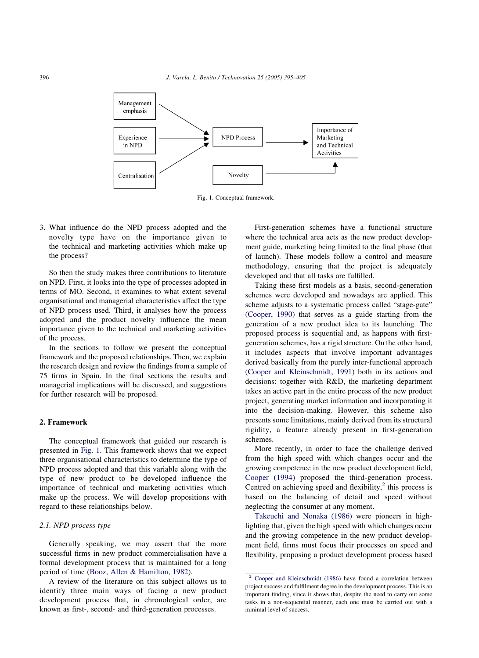

Fig. 1. Conceptual framework.

3. What influence do the NPD process adopted and the novelty type have on the importance given to the technical and marketing activities which make up the process?

So then the study makes three contributions to literature on NPD. First, it looks into the type of processes adopted in terms of MO. Second, it examines to what extent several organisational and managerial characteristics affect the type of NPD process used. Third, it analyses how the process adopted and the product novelty influence the mean importance given to the technical and marketing activities of the process.

In the sections to follow we present the conceptual framework and the proposed relationships. Then, we explain the research design and review the findings from a sample of 75 firms in Spain. In the final sections the results and managerial implications will be discussed, and suggestions for further research will be proposed.

#### 2. Framework

The conceptual framework that guided our research is presented in Fig. 1. This framework shows that we expect three organisational characteristics to determine the type of NPD process adopted and that this variable along with the type of new product to be developed influence the importance of technical and marketing activities which make up the process. We will develop propositions with regard to these relationships below.

#### 2.1. NPD process type

Generally speaking, we may assert that the more successful firms in new product commercialisation have a formal development process that is maintained for a long period of time ([Booz, Allen & Hamilton, 1982\)](#page--1-0).

A review of the literature on this subject allows us to identify three main ways of facing a new product development process that, in chronological order, are known as first-, second- and third-generation processes.

First-generation schemes have a functional structure where the technical area acts as the new product development guide, marketing being limited to the final phase (that of launch). These models follow a control and measure methodology, ensuring that the project is adequately developed and that all tasks are fulfilled.

Taking these first models as a basis, second-generation schemes were developed and nowadays are applied. This scheme adjusts to a systematic process called "stage-gate" ([Cooper, 1990\)](#page--1-0) that serves as a guide starting from the generation of a new product idea to its launching. The proposed process is sequential and, as happens with firstgeneration schemes, has a rigid structure. On the other hand, it includes aspects that involve important advantages derived basically from the purely inter-functional approach ([Cooper and Kleinschmidt, 1991](#page--1-0)) both in its actions and decisions: together with R&D, the marketing department takes an active part in the entire process of the new product project, generating market information and incorporating it into the decision-making. However, this scheme also presents some limitations, mainly derived from its structural rigidity, a feature already present in first-generation schemes.

More recently, in order to face the challenge derived from the high speed with which changes occur and the growing competence in the new product development field, [Cooper \(1994\)](#page--1-0) proposed the third-generation process. Centred on achieving speed and flexibility, $2$  this process is based on the balancing of detail and speed without neglecting the consumer at any moment.

[Takeuchi and Nonaka \(1986\)](#page--1-0) were pioneers in highlighting that, given the high speed with which changes occur and the growing competence in the new product development field, firms must focus their processes on speed and flexibility, proposing a product development process based

<sup>2</sup> [Cooper and Kleinschmidt \(1986\)](#page--1-0) have found a correlation between project success and fulfilment degree in the development process. This is an important finding, since it shows that, despite the need to carry out some tasks in a non-sequential manner, each one must be carried out with a minimal level of success.